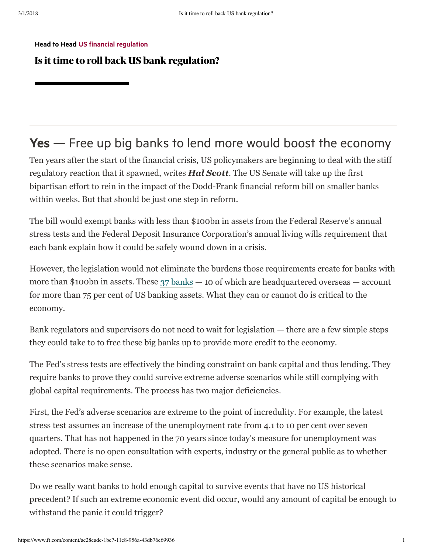Head to Head US financial regulation

## Is it time to roll back US bank regulation?

## Yes – Free up big banks to lend more would boost the economy

Ten years after the start of the financial crisis, US policymakers are beginning to deal with the stiff regulatory reaction that it spawned, writes *Hal Scott*. The US Senate will take up the first bipartisan effort to rein in the impact of the Dodd-Frank financial reform bill on smaller banks within weeks. But that should be just one step in reform.

The bill would exempt banks with less than \$100bn in assets from the Federal Reserve's annual stress tests and the Federal Deposit Insurance Corporation's annual living wills requirement that each bank explain how it could be safely wound down in a crisis.

However, the legislation would not eliminate the burdens those requirements create for banks with more than \$100 bn in assets. These  $37$  banks  $-10$  of which are headquartered overseas  $-$  account for more than 75 per cent of US banking assets. What they can or cannot do is critical to the economy.

Bank regulators and supervisors do not need to wait for legislation — there are a few simple steps they could take to to free these big banks up to provide more credit to the economy.

The Fed's stress tests are effectively the binding constraint on bank capital and thus lending. They require banks to prove they could survive extreme adverse scenarios while still complying with global capital requirements. The process has two major deficiencies.

First, the Fed's adverse scenarios are extreme to the point of incredulity. For example, the latest stress test assumes an increase of the unemployment rate from 4.1 to 10 per cent over seven quarters. That has not happened in the 70 years since today's measure for unemployment was adopted. There is no open consultation with experts, industry or the general public as to whether these scenarios make sense.

Do we really want banks to hold enough capital to survive events that have no US historical precedent? If such an extreme economic event did occur, would any amount of capital be enough to withstand the panic it could trigger?